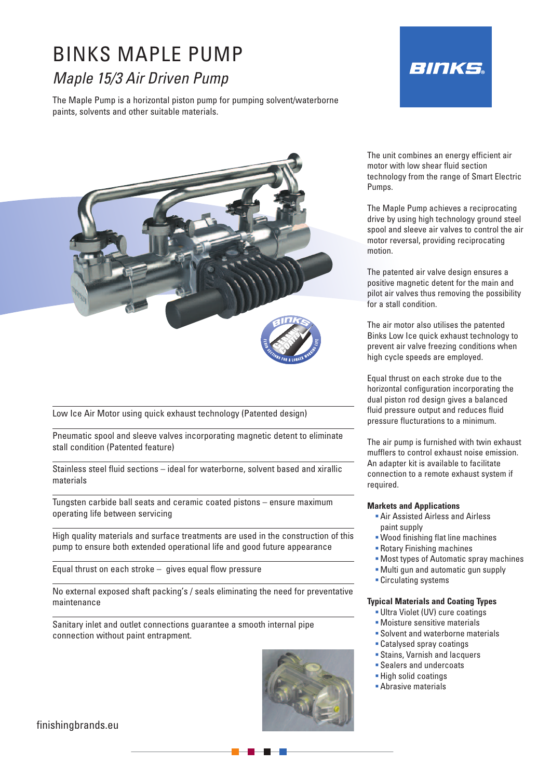# BINKS MAPLE PUMP *Maple 15/3 Air Driven Pump*

The Maple Pump is a horizontal piston pump for pumping solvent/waterborne paints, solvents and other suitable materials.





Low Ice Air Motor using quick exhaust technology (Patented design)

Pneumatic spool and sleeve valves incorporating magnetic detent to eliminate stall condition (Patented feature)

Stainless steel fluid sections – ideal for waterborne, solvent based and xirallic materials

Tungsten carbide ball seats and ceramic coated pistons – ensure maximum operating life between servicing

High quality materials and surface treatments are used in the construction of this pump to ensure both extended operational life and good future appearance

Equal thrust on each stroke – gives equal flow pressure

No external exposed shaft packing's / seals eliminating the need for preventative maintenance

Sanitary inlet and outlet connections guarantee a smooth internal pipe connection without paint entrapment.



The unit combines an energy efficient air motor with low shear fluid section technology from the range of Smart Electric Pumps.

The Maple Pump achieves a reciprocating drive by using high technology ground steel spool and sleeve air valves to control the air motor reversal, providing reciprocating motion.

The patented air valve design ensures a positive magnetic detent for the main and pilot air valves thus removing the possibility for a stall condition.

The air motor also utilises the patented Binks Low Ice quick exhaust technology to prevent air valve freezing conditions when high cycle speeds are employed.

Equal thrust on each stroke due to the horizontal configuration incorporating the dual piston rod design gives a balanced fluid pressure output and reduces fluid pressure flucturations to a minimum.

The air pump is furnished with twin exhaust mufflers to control exhaust noise emission. An adapter kit is available to facilitate connection to a remote exhaust system if required.

#### **Markets and Applications**

- Air Assisted Airless and Airless paint supply
- Wood finishing flat line machines
- Rotary Finishing machines
- Most types of Automatic spray machines
- Multi gun and automatic gun supply
- **Circulating systems**

#### **Typical Materials and Coating Types**

- Ultra Violet (UV) cure coatings
- Moisture sensitive materials
- Solvent and waterborne materials
- Catalysed spray coatings
- Stains, Varnish and lacquers
- Sealers and undercoats
- High solid coatings
- **Abrasive materials**

finishingbrands.eu